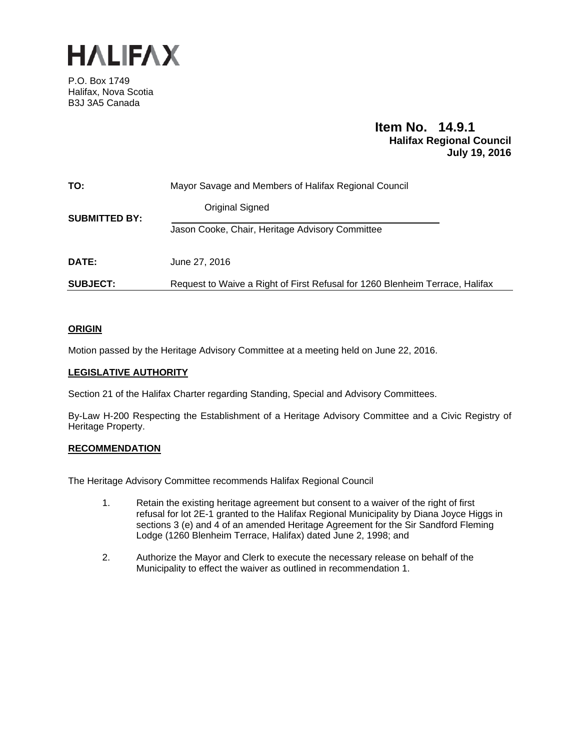

P.O. Box 1749 Halifax, Nova Scotia B3J 3A5 Canada

# **Item No. 14.9.1 Halifax Regional Council July 19, 2016**

| TO:                  | Mayor Savage and Members of Halifax Regional Council                         |
|----------------------|------------------------------------------------------------------------------|
| <b>SUBMITTED BY:</b> | Original Signed                                                              |
|                      | Jason Cooke, Chair, Heritage Advisory Committee                              |
| DATE:                | June 27, 2016                                                                |
| <b>SUBJECT:</b>      | Request to Waive a Right of First Refusal for 1260 Blenheim Terrace, Halifax |

# **ORIGIN**

Motion passed by the Heritage Advisory Committee at a meeting held on June 22, 2016.

# **LEGISLATIVE AUTHORITY**

Section 21 of the Halifax Charter regarding Standing, Special and Advisory Committees.

By-Law H-200 Respecting the Establishment of a Heritage Advisory Committee and a Civic Registry of Heritage Property.

## **RECOMMENDATION**

The Heritage Advisory Committee recommends Halifax Regional Council

- 1. Retain the existing heritage agreement but consent to a waiver of the right of first refusal for lot 2E-1 granted to the Halifax Regional Municipality by Diana Joyce Higgs in sections 3 (e) and 4 of an amended Heritage Agreement for the Sir Sandford Fleming Lodge (1260 Blenheim Terrace, Halifax) dated June 2, 1998; and
- 2. Authorize the Mayor and Clerk to execute the necessary release on behalf of the Municipality to effect the waiver as outlined in recommendation 1.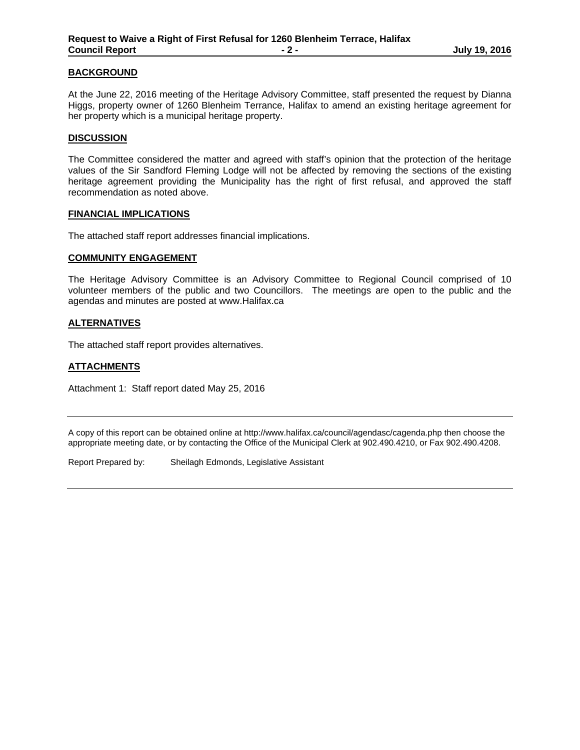#### **BACKGROUND**

At the June 22, 2016 meeting of the Heritage Advisory Committee, staff presented the request by Dianna Higgs, property owner of 1260 Blenheim Terrance, Halifax to amend an existing heritage agreement for her property which is a municipal heritage property.

#### **DISCUSSION**

The Committee considered the matter and agreed with staff's opinion that the protection of the heritage values of the Sir Sandford Fleming Lodge will not be affected by removing the sections of the existing heritage agreement providing the Municipality has the right of first refusal, and approved the staff recommendation as noted above.

#### **FINANCIAL IMPLICATIONS**

The attached staff report addresses financial implications.

#### **COMMUNITY ENGAGEMENT**

The Heritage Advisory Committee is an Advisory Committee to Regional Council comprised of 10 volunteer members of the public and two Councillors. The meetings are open to the public and the agendas and minutes are posted at www.Halifax.ca

#### **ALTERNATIVES**

The attached staff report provides alternatives.

# **ATTACHMENTS**

Attachment 1: Staff report dated May 25, 2016

A copy of this report can be obtained online at http://www.halifax.ca/council/agendasc/cagenda.php then choose the appropriate meeting date, or by contacting the Office of the Municipal Clerk at 902.490.4210, or Fax 902.490.4208.

Report Prepared by: Sheilagh Edmonds, Legislative Assistant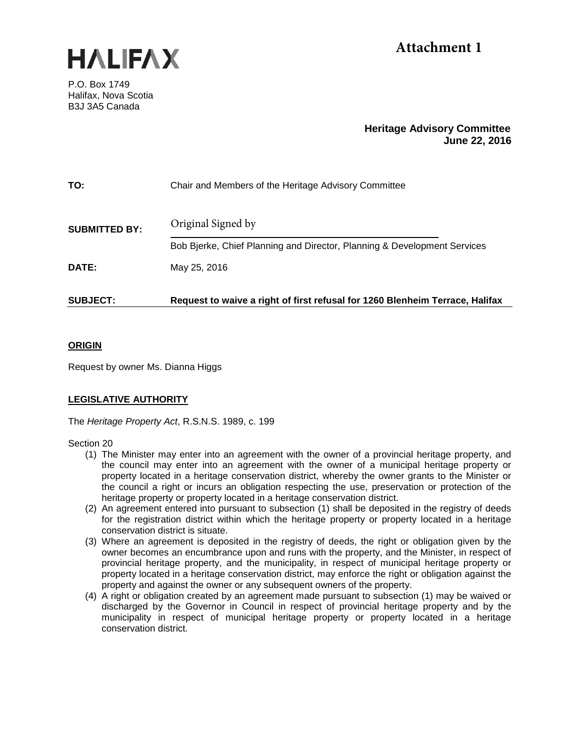

# **Attachment 1**

P.O. Box 1749 Halifax, Nova Scotia B3J 3A5 Canada

# **Heritage Advisory Committee June 22, 2016**

| TO:                  | Chair and Members of the Heritage Advisory Committee                         |  |
|----------------------|------------------------------------------------------------------------------|--|
| <b>SUBMITTED BY:</b> | Original Signed by                                                           |  |
|                      | Bob Bjerke, Chief Planning and Director, Planning & Development Services     |  |
| DATE:                | May 25, 2016                                                                 |  |
| <b>SUBJECT:</b>      | Request to waive a right of first refusal for 1260 Blenheim Terrace, Halifax |  |

# **ORIGIN**

Request by owner Ms. Dianna Higgs

# **LEGISLATIVE AUTHORITY**

The *Heritage Property Act*, R.S.N.S. 1989, c. 199

Section 20

- (1) The Minister may enter into an agreement with the owner of a provincial heritage property, and the council may enter into an agreement with the owner of a municipal heritage property or property located in a heritage conservation district, whereby the owner grants to the Minister or the council a right or incurs an obligation respecting the use, preservation or protection of the heritage property or property located in a heritage conservation district.
- (2) An agreement entered into pursuant to subsection (1) shall be deposited in the registry of deeds for the registration district within which the heritage property or property located in a heritage conservation district is situate.
- (3) Where an agreement is deposited in the registry of deeds, the right or obligation given by the owner becomes an encumbrance upon and runs with the property, and the Minister, in respect of provincial heritage property, and the municipality, in respect of municipal heritage property or property located in a heritage conservation district, may enforce the right or obligation against the property and against the owner or any subsequent owners of the property.
- (4) A right or obligation created by an agreement made pursuant to subsection (1) may be waived or discharged by the Governor in Council in respect of provincial heritage property and by the municipality in respect of municipal heritage property or property located in a heritage conservation district.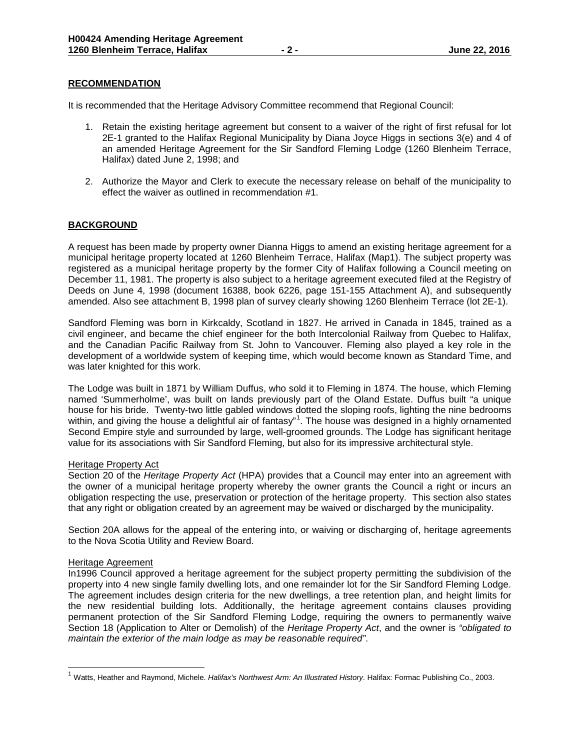## **RECOMMENDATION**

It is recommended that the Heritage Advisory Committee recommend that Regional Council:

- 1. Retain the existing heritage agreement but consent to a waiver of the right of first refusal for lot 2E-1 granted to the Halifax Regional Municipality by Diana Joyce Higgs in sections 3(e) and 4 of an amended Heritage Agreement for the Sir Sandford Fleming Lodge (1260 Blenheim Terrace, Halifax) dated June 2, 1998; and
- 2. Authorize the Mayor and Clerk to execute the necessary release on behalf of the municipality to effect the waiver as outlined in recommendation #1.

## **BACKGROUND**

A request has been made by property owner Dianna Higgs to amend an existing heritage agreement for a municipal heritage property located at 1260 Blenheim Terrace, Halifax (Map1). The subject property was registered as a municipal heritage property by the former City of Halifax following a Council meeting on December 11, 1981. The property is also subject to a heritage agreement executed filed at the Registry of Deeds on June 4, 1998 (document 16388, book 6226, page 151-155 Attachment A), and subsequently amended. Also see attachment B, 1998 plan of survey clearly showing 1260 Blenheim Terrace (lot 2E-1).

Sandford Fleming was born in Kirkcaldy, Scotland in 1827. He arrived in Canada in 1845, trained as a civil engineer, and became the chief engineer for the both Intercolonial Railway from Quebec to Halifax, and the Canadian Pacific Railway from St. John to Vancouver. Fleming also played a key role in the development of a worldwide system of keeping time, which would become known as Standard Time, and was later knighted for this work.

The Lodge was built in 1871 by William Duffus, who sold it to Fleming in 1874. The house, which Fleming named 'Summerholme', was built on lands previously part of the Oland Estate. Duffus built "a unique house for his bride. Twenty-two little gabled windows dotted the sloping roofs, lighting the nine bedrooms within, and giving the house a delightful air of fantasy"<sup>[1](#page-3-0)</sup>. The house was designed in a highly ornamented Second Empire style and surrounded by large, well-groomed grounds. The Lodge has significant heritage value for its associations with Sir Sandford Fleming, but also for its impressive architectural style.

#### Heritage Property Act

Section 20 of the *Heritage Property Act* (HPA) provides that a Council may enter into an agreement with the owner of a municipal heritage property whereby the owner grants the Council a right or incurs an obligation respecting the use, preservation or protection of the heritage property. This section also states that any right or obligation created by an agreement may be waived or discharged by the municipality.

Section 20A allows for the appeal of the entering into, or waiving or discharging of, heritage agreements to the Nova Scotia Utility and Review Board.

#### Heritage Agreement

 $\overline{a}$ 

In1996 Council approved a heritage agreement for the subject property permitting the subdivision of the property into 4 new single family dwelling lots, and one remainder lot for the Sir Sandford Fleming Lodge. The agreement includes design criteria for the new dwellings, a tree retention plan, and height limits for the new residential building lots. Additionally, the heritage agreement contains clauses providing permanent protection of the Sir Sandford Fleming Lodge, requiring the owners to permanently waive Section 18 (Application to Alter or Demolish) of the *Heritage Property Act*, and the owner is *"obligated to maintain the exterior of the main lodge as may be reasonable required"*.

<span id="page-3-0"></span><sup>1</sup> Watts, Heather and Raymond, Michele. *Halifax's Northwest Arm: An Illustrated History*. Halifax: Formac Publishing Co., 2003.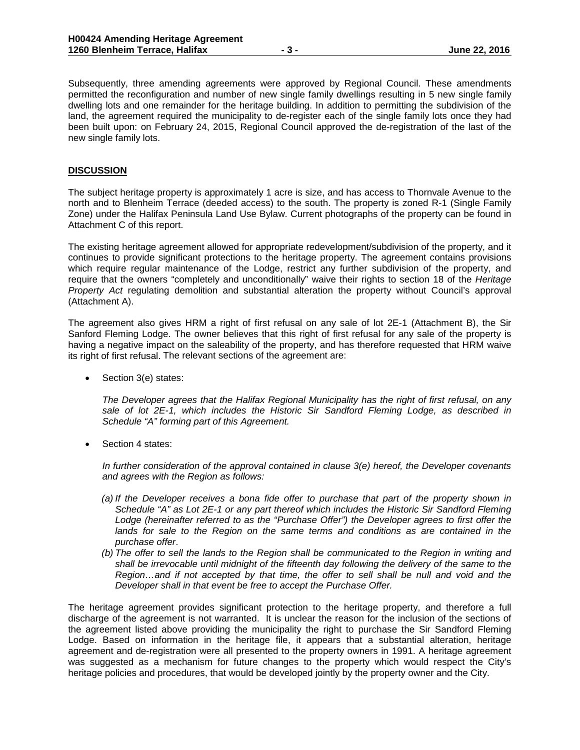Subsequently, three amending agreements were approved by Regional Council. These amendments permitted the reconfiguration and number of new single family dwellings resulting in 5 new single family dwelling lots and one remainder for the heritage building. In addition to permitting the subdivision of the land, the agreement required the municipality to de-register each of the single family lots once they had been built upon: on February 24, 2015, Regional Council approved the de-registration of the last of the new single family lots.

#### **DISCUSSION**

The subject heritage property is approximately 1 acre is size, and has access to Thornvale Avenue to the north and to Blenheim Terrace (deeded access) to the south. The property is zoned R-1 (Single Family Zone) under the Halifax Peninsula Land Use Bylaw. Current photographs of the property can be found in Attachment C of this report.

The existing heritage agreement allowed for appropriate redevelopment/subdivision of the property, and it continues to provide significant protections to the heritage property. The agreement contains provisions which require regular maintenance of the Lodge, restrict any further subdivision of the property, and require that the owners "completely and unconditionally" waive their rights to section 18 of the *Heritage Property Act* regulating demolition and substantial alteration the property without Council's approval (Attachment A).

The agreement also gives HRM a right of first refusal on any sale of lot 2E-1 (Attachment B), the Sir Sanford Fleming Lodge. The owner believes that this right of first refusal for any sale of the property is having a negative impact on the saleability of the property, and has therefore requested that HRM waive its right of first refusal. The relevant sections of the agreement are:

Section 3(e) states:

*The Developer agrees that the Halifax Regional Municipality has the right of first refusal, on any sale of lot 2E-1, which includes the Historic Sir Sandford Fleming Lodge, as described in Schedule "A" forming part of this Agreement.*

Section 4 states:

*In further consideration of the approval contained in clause 3(e) hereof, the Developer covenants and agrees with the Region as follows:*

- *(a) If the Developer receives a bona fide offer to purchase that part of the property shown in Schedule "A" as Lot 2E-1 or any part thereof which includes the Historic Sir Sandford Fleming Lodge (hereinafter referred to as the "Purchase Offer") the Developer agrees to first offer the*  lands for sale to the Region on the same terms and conditions as are contained in the *purchase offer*.
- *(b) The offer to sell the lands to the Region shall be communicated to the Region in writing and shall be irrevocable until midnight of the fifteenth day following the delivery of the same to the Region…and if not accepted by that time, the offer to sell shall be null and void and the Developer shall in that event be free to accept the Purchase Offer.*

The heritage agreement provides significant protection to the heritage property, and therefore a full discharge of the agreement is not warranted. It is unclear the reason for the inclusion of the sections of the agreement listed above providing the municipality the right to purchase the Sir Sandford Fleming Lodge. Based on information in the heritage file, it appears that a substantial alteration, heritage agreement and de-registration were all presented to the property owners in 1991. A heritage agreement was suggested as a mechanism for future changes to the property which would respect the City's heritage policies and procedures, that would be developed jointly by the property owner and the City.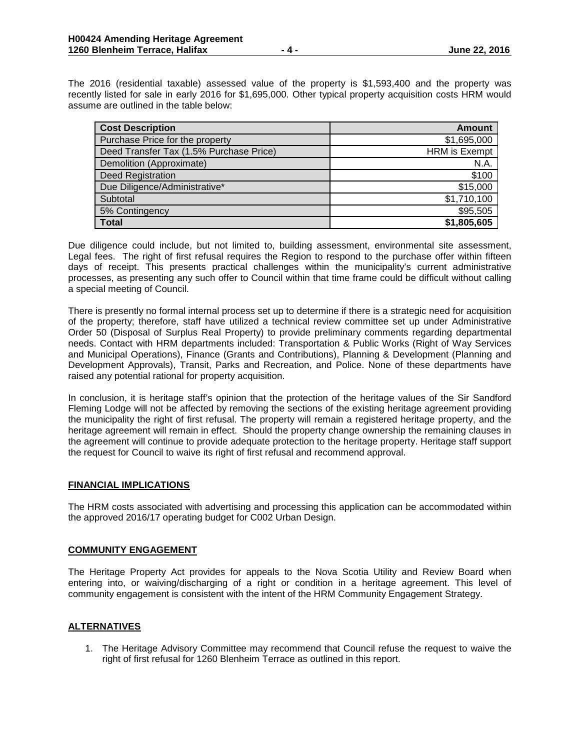The 2016 (residential taxable) assessed value of the property is \$1,593,400 and the property was recently listed for sale in early 2016 for \$1,695,000. Other typical property acquisition costs HRM would assume are outlined in the table below:

| <b>Cost Description</b>                 | <b>Amount</b>        |
|-----------------------------------------|----------------------|
| Purchase Price for the property         | \$1,695,000          |
| Deed Transfer Tax (1.5% Purchase Price) | <b>HRM</b> is Exempt |
| Demolition (Approximate)                | N.A.                 |
| Deed Registration                       | \$100                |
| Due Diligence/Administrative*           | \$15,000             |
| Subtotal                                | \$1,710,100          |
| 5% Contingency                          | \$95,505             |
| <b>Total</b>                            | \$1,805,605          |

Due diligence could include, but not limited to, building assessment, environmental site assessment, Legal fees. The right of first refusal requires the Region to respond to the purchase offer within fifteen days of receipt. This presents practical challenges within the municipality's current administrative processes, as presenting any such offer to Council within that time frame could be difficult without calling a special meeting of Council.

There is presently no formal internal process set up to determine if there is a strategic need for acquisition of the property; therefore, staff have utilized a technical review committee set up under Administrative Order 50 (Disposal of Surplus Real Property) to provide preliminary comments regarding departmental needs. Contact with HRM departments included: Transportation & Public Works (Right of Way Services and Municipal Operations), Finance (Grants and Contributions), Planning & Development (Planning and Development Approvals), Transit, Parks and Recreation, and Police. None of these departments have raised any potential rational for property acquisition.

In conclusion, it is heritage staff's opinion that the protection of the heritage values of the Sir Sandford Fleming Lodge will not be affected by removing the sections of the existing heritage agreement providing the municipality the right of first refusal. The property will remain a registered heritage property, and the heritage agreement will remain in effect. Should the property change ownership the remaining clauses in the agreement will continue to provide adequate protection to the heritage property. Heritage staff support the request for Council to waive its right of first refusal and recommend approval.

## **FINANCIAL IMPLICATIONS**

The HRM costs associated with advertising and processing this application can be accommodated within the approved 2016/17 operating budget for C002 Urban Design.

## **COMMUNITY ENGAGEMENT**

The Heritage Property Act provides for appeals to the Nova Scotia Utility and Review Board when entering into, or waiving/discharging of a right or condition in a heritage agreement. This level of community engagement is consistent with the intent of the HRM Community Engagement Strategy.

## **ALTERNATIVES**

1. The Heritage Advisory Committee may recommend that Council refuse the request to waive the right of first refusal for 1260 Blenheim Terrace as outlined in this report.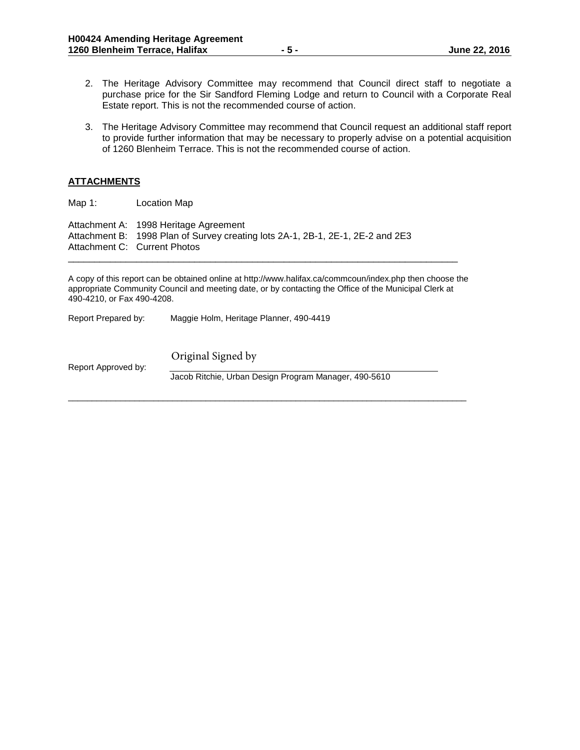- 2. The Heritage Advisory Committee may recommend that Council direct staff to negotiate a purchase price for the Sir Sandford Fleming Lodge and return to Council with a Corporate Real Estate report. This is not the recommended course of action.
- 3. The Heritage Advisory Committee may recommend that Council request an additional staff report to provide further information that may be necessary to properly advise on a potential acquisition of 1260 Blenheim Terrace. This is not the recommended course of action.

## **ATTACHMENTS**

Map 1: Location Map Attachment A: 1998 Heritage Agreement Attachment B: 1998 Plan of Survey creating lots 2A-1, 2B-1, 2E-1, 2E-2 and 2E3 Attachment C: Current Photos

A copy of this report can be obtained online at http://www.halifax.ca/commcoun/index.php then choose the appropriate Community Council and meeting date, or by contacting the Office of the Municipal Clerk at 490-4210, or Fax 490-4208.

\_\_\_\_\_\_\_\_\_\_\_\_\_\_\_\_\_\_\_\_\_\_\_\_\_\_\_\_\_\_\_\_\_\_\_\_\_\_\_\_\_\_\_\_\_\_\_\_\_\_\_\_\_\_\_\_\_\_\_\_\_\_\_\_\_\_\_\_\_\_\_\_\_\_

Report Prepared by: Maggie Holm, Heritage Planner, 490-4419

Report Approved by: Jacob Ritchie, Urban Design Program Manager, 490-5610  $\overline{\phantom{a}}$  ,  $\overline{\phantom{a}}$  ,  $\overline{\phantom{a}}$  ,  $\overline{\phantom{a}}$  ,  $\overline{\phantom{a}}$  ,  $\overline{\phantom{a}}$  ,  $\overline{\phantom{a}}$  ,  $\overline{\phantom{a}}$  ,  $\overline{\phantom{a}}$  ,  $\overline{\phantom{a}}$  ,  $\overline{\phantom{a}}$  ,  $\overline{\phantom{a}}$  ,  $\overline{\phantom{a}}$  ,  $\overline{\phantom{a}}$  ,  $\overline{\phantom{a}}$  ,  $\overline{\phantom{a}}$ Original Signed by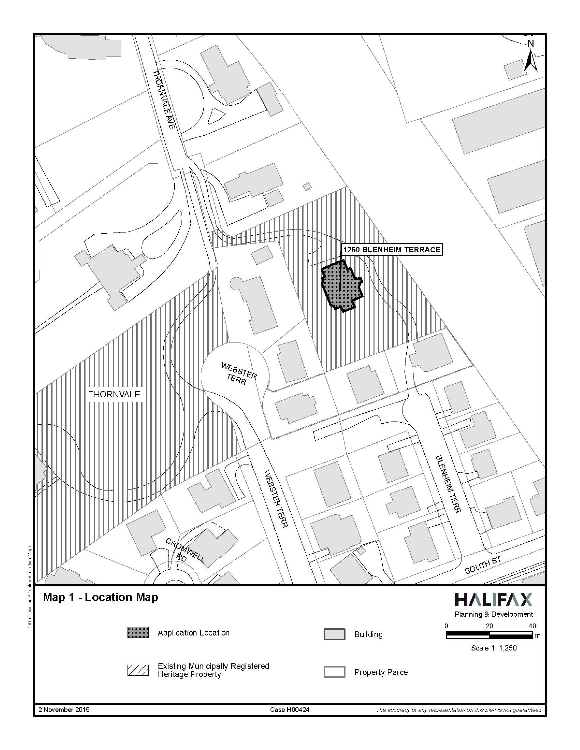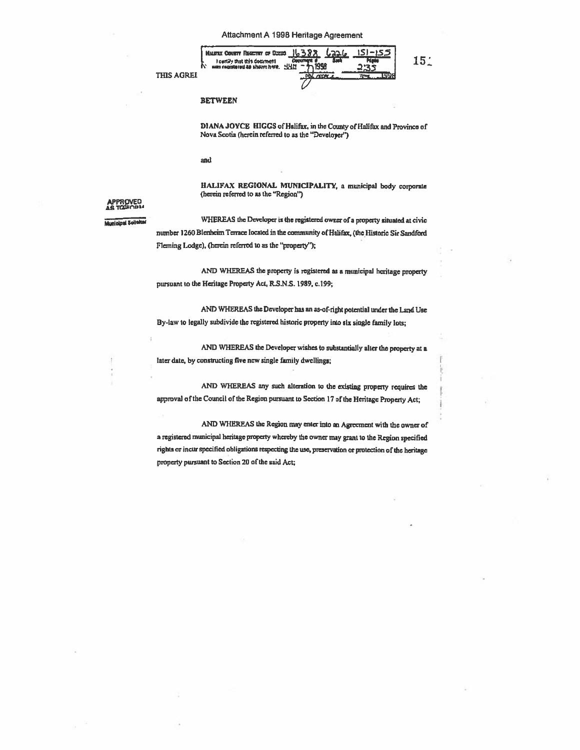**THIS AGREE** 



#### **BETWEEN**

DIANA JOYCE HIGGS of Halifax, in the County of Halifax and Province of Nova Scotia (herein referred to as the "Developer")

151

and

HALIFAX REGIONAL MUNICIPALITY, a municipal body corporate (herein referred to as the "Region")

# **ROVED**

**Municipal Solisite** 

WHEREAS the Developer is the registered owner of a property situated at civic number 1260 Blenheim Terrace located in the community of Halifax, (the Historic Sir Sandford Fleming Lodge), (herein referred to as the "property");

AND WHEREAS the property is registered as a municipal heritage property pursuant to the Heritage Property Act, R.S.N.S. 1989, c.199;

AND WHEREAS the Developer has an as-of-right potential under the Land Use By-law to legally subdivide the registered historic property into six single family lots;

AND WHEREAS the Developer wishes to substantially alter the property at a later date, by constructing five new single family dwellings;

AND WHEREAS any such alteration to the existing property requires the approval of the Council of the Region pursuant to Section 17 of the Heritage Property Act;

AND WHEREAS the Region may enter into an Agreement with the owner of a registered municipal heritage property whereby the owner may grant to the Region specified rights or incur specified obligations respecting the use, preservation or protection of the heritage property pursuant to Section 20 of the said Act;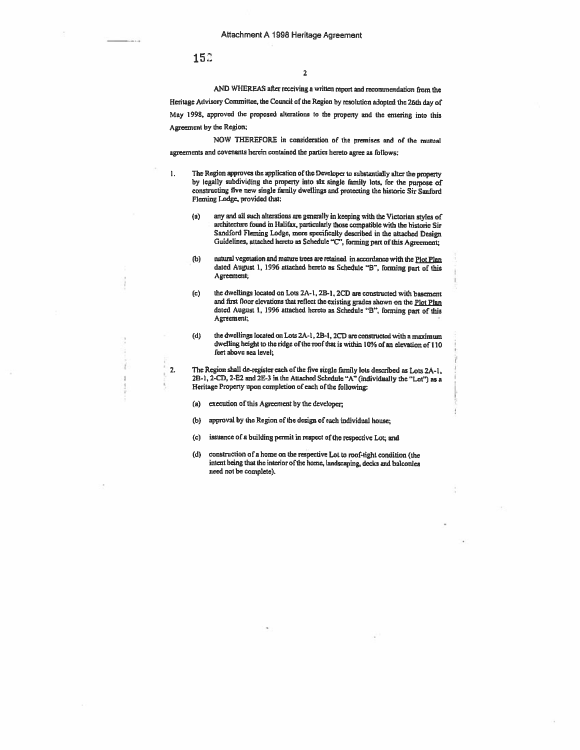15:

1.

AND WHEREAS after receiving <sup>a</sup> written repor<sup>t</sup> and recommendation from the Heritage Advisory Committee, the Council of the Region by resolution adopted the 26th day of May 1998. approve<sup>d</sup> the propose<sup>d</sup> alterations to the property and the entering into this Agreement by the Region;

NOW THEREFORE in consideration of the premises and of the mutual agreements and covenants herein contained the parties hereto agree as follows:

- The Region approves the application of the Developer to substantially alter the property by legally subdividing the property into six single family lots, for the purpose of constructing five new single family dwellings and protecting the historic Sir Sanford Fleming Lodge, provided that:
	- (a) any and all such alterations ate generally in keeping with the Victorian styles of architecture found in Halifax, particularly those compatible with the historic Sir Sandford Fleming Lodge, more specifically described in the attached Design Guidelines, attached hereto as Schedule "C", forming part of this Agreement:
	- (b) natural vegetation and mature trees are retained in accordance with the Plot Plan dated August 1, 1996 attached hereto as Schedule "B", forming part of this Agreement;
	- (c) the dwellings located on Lots  $2A-1$ ,  $2B-1$ ,  $2CD$  are constructed with basement and first floor elevations that reflect the existing grades shown on the  $P_{10}P_{10}$ dated August 1, 1996 attached hereto as Schedule "B". forming part of this Agreement;
	- (d) the dwellings located on Lots 2A-1, 2B-1, 2CD are constructed with a maximum dwelling height to the ridge of the roof that is within 10% of an elevation of 110 feet above sea level;

2. The Region shall de-regista each of the five single family lots described as Lots 2A-l, 2B-1, 2-CD, 2-E2 and 2E-3 in the Attached Schedule "A" (individually the "Lot") as a Hentage Property upon completion of each of the following;

- (a) execution of this Agreement by the developer;
- (b) approva<sup>l</sup> by the Region of the design of each individual house;
- (c) issuance of a building permit in respect of the respective Lot; and
- (d) construction of <sup>a</sup> home on the respective Lot to roof-tight condition (the intent being that the interior of the home, landscaping, decks and balconies need not be complete).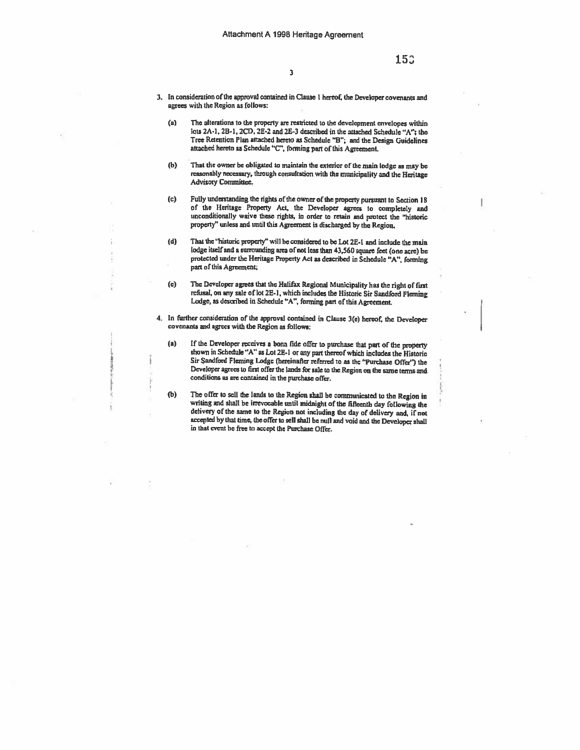- 3. In consideration of the approval contained in Clause <sup>I</sup> hereof, the Developer covenants and agrees with the Region as follows:
	- (a) The alterations to the property are restricted to the development envelopes within lots 2A-1, 2B-1, 2CD, 2E-2 and 2E-3 described in the attached Schedule "A"; the Tree Retention Plan attached hereto as Schedule "B"; and the Design Guidelines attached hereto as Schedule "C", forming part of this Agreement.
	- (b) That the owner be obligated to maintain the exterior of the main lodge as may be reasonably necessary, through consultation with the municipality and the Heritage Advisory Committee.
	- (c) Fully understanding the rights of the owner of the property pursuant to Section <sup>18</sup> of the Heritage Property Act, the Developer agrees to completely and unconditionally waive these rights, in order to retain and protect thc "historic property" unless and until this Agreement is discharged by the Region.
	- (d) That the 'historic properly" will be considered to be Lot 25-I and include the main lodge itself and a surrounding area of not less than 43,560 square feet (one acre) be protected under the Heritage Property Act as described in Schedule "A", forming part of this Agreement;
	- (e) The Developer agrees that the Halifax Regional Municipality has the right of Inst refusal, on any sale of lot 2E-1, which includes the Historic Sir Sandford Fleming Lodge, as described in Schedule "A", forming part of this Agreement.
- 4. In further consideration of the approval contained in Clause 3(e) hereof, the Developer covenants and agrees with the Region as follows:
	- (a) If the Developer receives <sup>a</sup> bona tide offer to purchase that pert of the property shown in Schedule "A" as Lot 2E.l or any par<sup>t</sup> thereof which includes the Historic Sir Sandford Fleming Lodge (hereinafter referred to as the "Purchase Offer") the Developer agrees to first offer the lands for sale to the Region on the same terms and conditions as are contained in the purchase offer.
	- (b) The offer to sell the lands to the Region shall be communicated to the Region in writing and shall be irrevocable until midnight of the fifteenth day following the delivery of the same to the Region not including the d accepted by that time, the offer io sell shall be null and void and the Developer shall in that event be free to accept the Purchase Offer.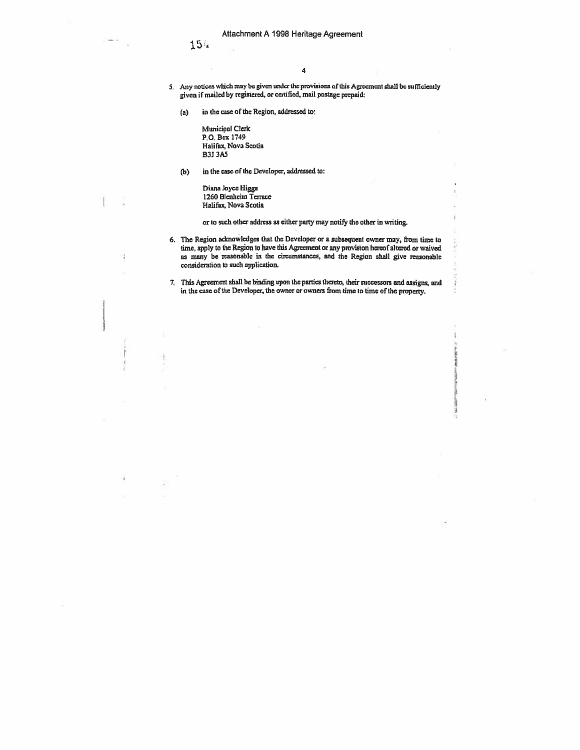$154$ 

 $\frac{1}{2}$  and  $\frac{1}{2}$ 

4

- 5. Any notices which may be given under the provisions of this Agreement shall be sufficiently <sup>g</sup>iven if mailed by registered, or certified, mail postage prcpaid:
	- (a) in the case of the Region, addressed to:

Municipal Clerk P.O. Box 1749 Halifax, Nova Scotia B33 3A5

(b) in the case of the Developer, addressed to:

Diana Joyce Higgs 1260 Blenheim Terrace Halifax, Nova Scotia

or to such other address as either party may notify the other in writing.

- 6. The Region acknowledges that the Developer or a subsequent owner may, from time to time, apply to the Region to have this Agitesnent or any provision hereof altered or waived as many be reasonable in the circumstances, and the Region shall give reasonable consideration to such application.
- 7. This Agreement shall be binding upon the parties thereto, their successors and assigns, and in the esse of the Developer, the owner or ownes from lime to time of the property.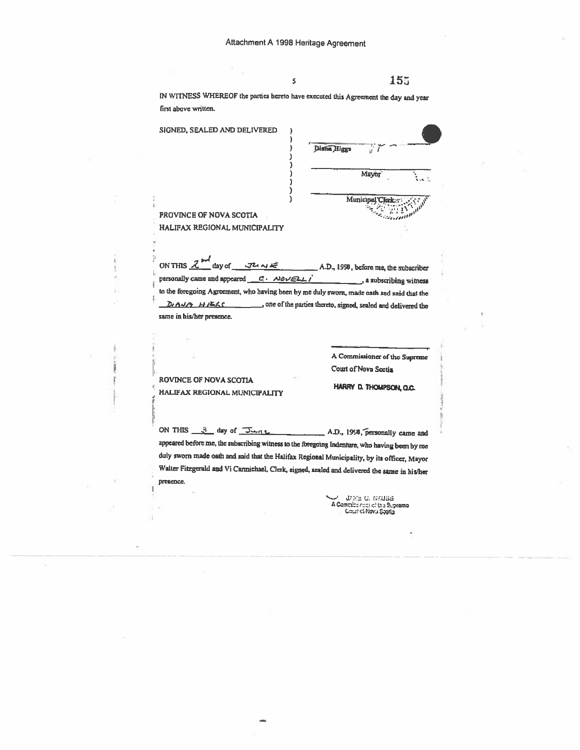IN WITNESS WHEREOF the parties hereto have executed this Agreement the day and year first above written.

Ś

SIGNED, SEALED AND DELIVERED Diana Higgs 77 ١ Mayor Municipal Clerk:

PROVINCE OF NOVA SCOTIA HALIFAX REGIONAL MUNICIPALITY

ON THIS  $\mathcal{Z}^{\mathcal{M}}$  day of  $J^2$   $N$ A.D., 1998, before me, the subscriber a subscribing witness to the foregoing Agreement, who having been by me duly sworn, made oath and said that the De ANA HIEGS. \_\_\_\_\_\_\_\_\_\_, one of the parties thereto, signed, sealed and delivered the same in his/her presence.

> A Commissioner of the Supreme Court of Nova Scotia

ROVINCE OF NOVA SCOTIA HALIFAX REGIONAL MUNICIPALITY

HARRY D. THOMPSON, O.C.

ON THIS  $3$  day of  $\overline{3}$ A.D., 1998, personally came and appeared before me, the subscribing witness to the foregoing Indenture, who having been by me duly sworn made oath and said that the Halifax Regional Municipality, by its officer, Mayor Walter Fitzgerald and Vi Carmichael, Clerk, signed, sealed and delivered the same in his/her presence.

 $\begin{minipage}{.4\linewidth} \begin{tabular}{l} \textbf{J/N} & \textbf{J/N} & \textbf{J} & \textbf{J} & \textbf{N} & \textbf{N} \\ \textbf{A Commulation of this Suppose} \\ \textbf{C} & \textbf{G} & \textbf{M} & \textbf{M} \\ \end{tabular}$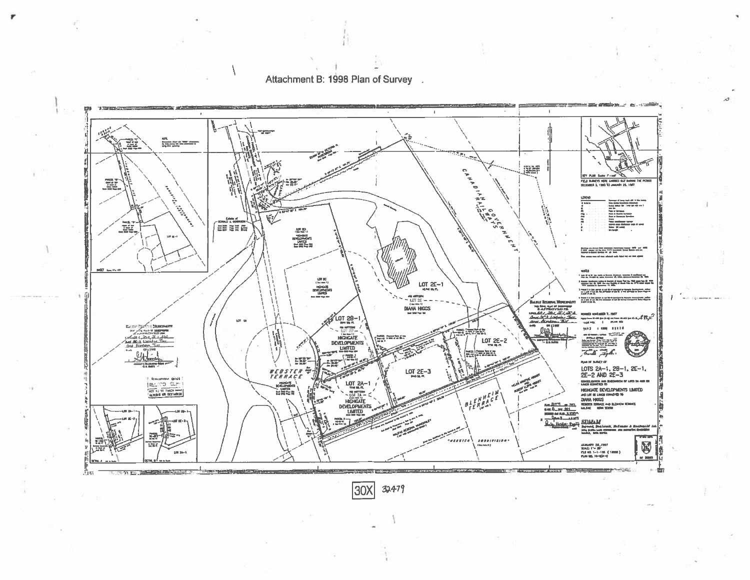

Attachment B: 1998 Plan of Survey

 $\overline{3}0X$ 32479